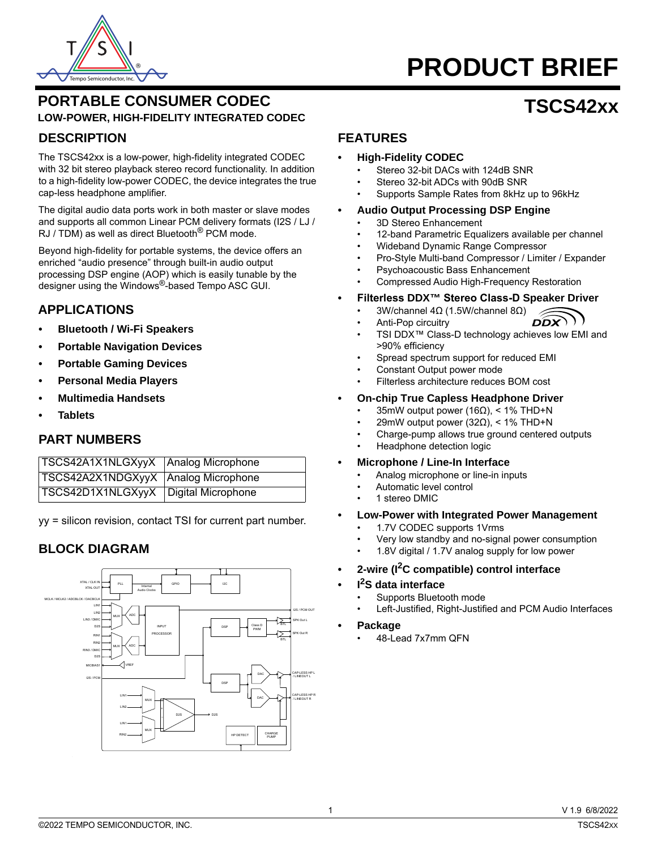

# **PRODUCT BRIEF**

**TSCS42xx**

# **PORTABLE CONSUMER CODEC LOW-POWER, HIGH-FIDELITY INTEGRATED CODEC**

## **DESCRIPTION**

The TSCS42xx is a low-power, high-fidelity integrated CODEC with 32 bit stereo playback stereo record functionality. In addition to a high-fidelity low-power CODEC, the device integrates the true cap-less headphone amplifier.

The digital audio data ports work in both master or slave modes and supports all common Linear PCM delivery formats (I2S / LJ / RJ / TDM) as well as direct Bluetooth<sup>®</sup> PCM mode.

Beyond high-fidelity for portable systems, the device offers an enriched "audio presence" through built-in audio output processing DSP engine (AOP) which is easily tunable by the designer using the Windows®-based Tempo ASC GUI.

# **APPLICATIONS**

- **Bluetooth / Wi-Fi Speakers**
- **Portable Navigation Devices**
- **Portable Gaming Devices**
- **Personal Media Players**
- **Multimedia Handsets**
- **Tablets**

## **PART NUMBERS**

| TSCS42A1X1NLGXyyX   Analog Microphone  |  |
|----------------------------------------|--|
| TSCS42A2X1NDGXyyX Analog Microphone    |  |
| TSCS42D1X1NLGXyyX   Digital Microphone |  |

yy = silicon revision, contact TSI for current part number.

# **BLOCK DIAGRAM**



## **FEATURES**

#### **• High-Fidelity CODEC**

- Stereo 32-bit DACs with 124dB SNR
- Stereo 32-bit ADCs with 90dB SNR
- Supports Sample Rates from 8kHz up to 96kHz

#### **• Audio Output Processing DSP Engine**

- 3D Stereo Enhancement
- 12-band Parametric Equalizers available per channel
- Wideband Dynamic Range Compressor
- Pro-Style Multi-band Compressor / Limiter / Expander
- Psychoacoustic Bass Enhancement
- Compressed Audio High-Frequency Restoration
- **• Filterless DDX™ Stereo Class-D Speaker Driver**
	- 3W/channel 4Ω (1.5W/channel 8Ω)
		- $\widehat{\text{DDX}}$ • Anti-Pop circuitry
	- TSI DDX™ Class-D technology achieves low EMI and >90% efficiency
	- Spread spectrum support for reduced EMI
	- Constant Output power mode
	- Filterless architecture reduces BOM cost

#### **• On-chip True Capless Headphone Driver**

- 35mW output power (16Ω), < 1% THD+N
- 29mW output power (32Ω), < 1% THD+N
- Charge-pump allows true ground centered outputs
- Headphone detection logic
- **Microphone / Line-In Interface**
	- Analog microphone or line-in inputs
	- Automatic level control
	- 1 stereo DMIC
- **Low-Power with Integrated Power Management**
	- 1.7V CODEC supports 1Vrms
	- Very low standby and no-signal power consumption
	- 1.8V digital / 1.7V analog supply for low power
- **2-wire (I2C compatible) control interface**
- **I2S data interface**
	- Supports Bluetooth mode
	- Left-Justified, Right-Justified and PCM Audio Interfaces
- **Package**
	- 48-Lead 7x7mm QFN